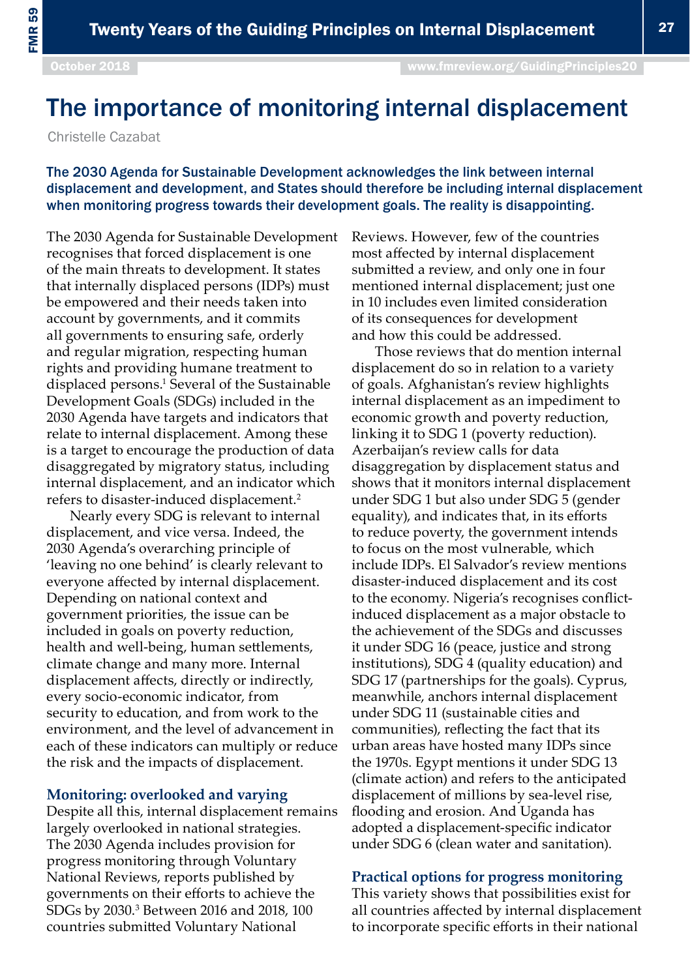## The importance of monitoring internal displacement

Christelle Cazabat

The 2030 Agenda for Sustainable Development acknowledges the link between internal displacement and development, and States should therefore be including internal displacement when monitoring progress towards their development goals. The reality is disappointing.

The 2030 Agenda for Sustainable Development recognises that forced displacement is one of the main threats to development. It states that internally displaced persons (IDPs) must be empowered and their needs taken into account by governments, and it commits all governments to ensuring safe, orderly and regular migration, respecting human rights and providing humane treatment to displaced persons.<sup>1</sup> Several of the Sustainable Development Goals (SDGs) included in the 2030 Agenda have targets and indicators that relate to internal displacement. Among these is a target to encourage the production of data disaggregated by migratory status, including internal displacement, and an indicator which refers to disaster-induced displacement.2

Nearly every SDG is relevant to internal displacement, and vice versa. Indeed, the 2030 Agenda's overarching principle of 'leaving no one behind' is clearly relevant to everyone affected by internal displacement. Depending on national context and government priorities, the issue can be included in goals on poverty reduction, health and well-being, human settlements, climate change and many more. Internal displacement affects, directly or indirectly, every socio-economic indicator, from security to education, and from work to the environment, and the level of advancement in each of these indicators can multiply or reduce the risk and the impacts of displacement.

## **Monitoring: overlooked and varying**

Despite all this, internal displacement remains largely overlooked in national strategies. The 2030 Agenda includes provision for progress monitoring through Voluntary National Reviews, reports published by governments on their efforts to achieve the SDGs by 2030.<sup>3</sup> Between 2016 and 2018, 100 countries submitted Voluntary National

Reviews. However, few of the countries most affected by internal displacement submitted a review, and only one in four mentioned internal displacement; just one in 10 includes even limited consideration of its consequences for development and how this could be addressed.

Those reviews that do mention internal displacement do so in relation to a variety of goals. Afghanistan's review highlights internal displacement as an impediment to economic growth and poverty reduction, linking it to SDG 1 (poverty reduction). Azerbaijan's review calls for data disaggregation by displacement status and shows that it monitors internal displacement under SDG 1 but also under SDG 5 (gender equality), and indicates that, in its efforts to reduce poverty, the government intends to focus on the most vulnerable, which include IDPs. El Salvador's review mentions disaster-induced displacement and its cost to the economy. Nigeria's recognises conflictinduced displacement as a major obstacle to the achievement of the SDGs and discusses it under SDG 16 (peace, justice and strong institutions), SDG 4 (quality education) and SDG 17 (partnerships for the goals). Cyprus, meanwhile, anchors internal displacement under SDG 11 (sustainable cities and communities), reflecting the fact that its urban areas have hosted many IDPs since the 1970s. Egypt mentions it under SDG 13 (climate action) and refers to the anticipated displacement of millions by sea-level rise, flooding and erosion. And Uganda has adopted a displacement-specific indicator under SDG 6 (clean water and sanitation).

## **Practical options for progress monitoring**

This variety shows that possibilities exist for all countries affected by internal displacement to incorporate specific efforts in their national